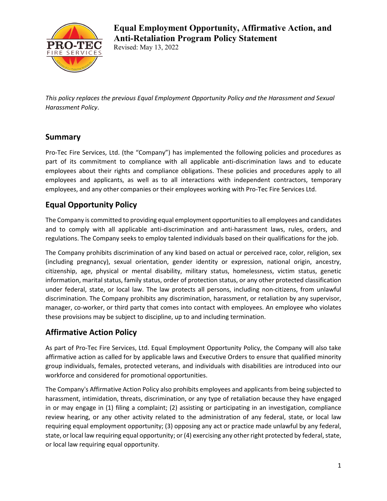

# **Equal Employment Opportunity, Affirmative Action, and Anti-Retaliation Program Policy Statement**

Revised: May 13, 2022

*This policy replaces the previous Equal Employment Opportunity Policy and the Harassment and Sexual Harassment Policy*.

## **Summary**

Pro-Tec Fire Services, Ltd. (the "Company") has implemented the following policies and procedures as part of its commitment to compliance with all applicable anti-discrimination laws and to educate employees about their rights and compliance obligations. These policies and procedures apply to all employees and applicants, as well as to all interactions with independent contractors, temporary employees, and any other companies or their employees working with Pro-Tec Fire Services Ltd.

## **Equal Opportunity Policy**

The Company is committed to providing equal employment opportunities to all employees and candidates and to comply with all applicable anti-discrimination and anti-harassment laws, rules, orders, and regulations. The Company seeks to employ talented individuals based on their qualifications for the job.

The Company prohibits discrimination of any kind based on actual or perceived race, color, religion, sex (including pregnancy), sexual orientation, gender identity or expression, national origin, ancestry, citizenship, age, physical or mental disability, military status, homelessness, victim status, genetic information, marital status, family status, order of protection status, or any other protected classification under federal, state, or local law. The law protects all persons, including non-citizens, from unlawful discrimination. The Company prohibits any discrimination, harassment, or retaliation by any supervisor, manager, co-worker, or third party that comes into contact with employees. An employee who violates these provisions may be subject to discipline, up to and including termination.

### **Affirmative Action Policy**

As part of Pro-Tec Fire Services, Ltd. Equal Employment Opportunity Policy, the Company will also take affirmative action as called for by applicable laws and Executive Orders to ensure that qualified minority group individuals, females, protected veterans, and individuals with disabilities are introduced into our workforce and considered for promotional opportunities.

The Company's Affirmative Action Policy also prohibits employees and applicants from being subjected to harassment, intimidation, threats, discrimination, or any type of retaliation because they have engaged in or may engage in (1) filing a complaint; (2) assisting or participating in an investigation, compliance review hearing, or any other activity related to the administration of any federal, state, or local law requiring equal employment opportunity; (3) opposing any act or practice made unlawful by any federal, state, or local law requiring equal opportunity; or (4) exercising any other right protected by federal, state, or local law requiring equal opportunity.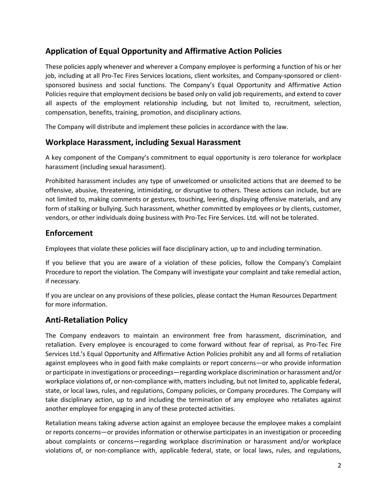## **Application of Equal Opportunity and Affirmative Action Policies**

These policies apply whenever and wherever a Company employee is performing a function of his or her job, including at all Pro-Tec Fires Services locations, client worksites, and Company-sponsored or clientsponsored business and social functions. The Company's Equal Opportunity and Affirmative Action Policies require that employment decisions be based only on valid job requirements, and extend to cover all aspects of the employment relationship including, but not limited to, recruitment, selection, compensation, benefits, training, promotion, and disciplinary actions.

The Company will distribute and implement these policies in accordance with the law.

#### **Workplace Harassment, including Sexual Harassment**

A key component of the Company's commitment to equal opportunity is zero tolerance for workplace harassment (including sexual harassment).

Prohibited harassment includes any type of unwelcomed or unsolicited actions that are deemed to be offensive, abusive, threatening, intimidating, or disruptive to others. These actions can include, but are not limited to, making comments or gestures, touching, leering, displaying offensive materials, and any form of stalking or bullying. Such harassment, whether committed by employees or by clients, customer, vendors, or other individuals doing business with Pro-Tec Fire Services. Ltd. will not be tolerated.

#### **Enforcement**

Employees that violate these policies will face disciplinary action, up to and including termination.

If you believe that you are aware of a violation of these policies, follow the Company's Complaint Procedure to report the violation. The Company will investigate your complaint and take remedial action, if necessary.

If you are unclear on any provisions of these policies, please contact the Human Resources Department for more information.

#### **Anti-Retaliation Policy**

The Company endeavors to maintain an environment free from harassment, discrimination, and retaliation. Every employee is encouraged to come forward without fear of reprisal, as Pro-Tec Fire Services Ltd.'s Equal Opportunity and Affirmative Action Policies prohibit any and all forms of retaliation against employees who in good faith make complaints or report concerns—or who provide information or participate in investigations or proceedings—regarding workplace discrimination or harassment and/or workplace violations of, or non-compliance with, matters including, but not limited to, applicable federal, state, or local laws, rules, and regulations, Company policies, or Company procedures. The Company will take disciplinary action, up to and including the termination of any employee who retaliates against another employee for engaging in any of these protected activities.

Retaliation means taking adverse action against an employee because the employee makes a complaint or reports concerns—or provides information or otherwise participates in an investigation or proceeding about complaints or concerns—regarding workplace discrimination or harassment and/or workplace violations of, or non-compliance with, applicable federal, state, or local laws, rules, and regulations,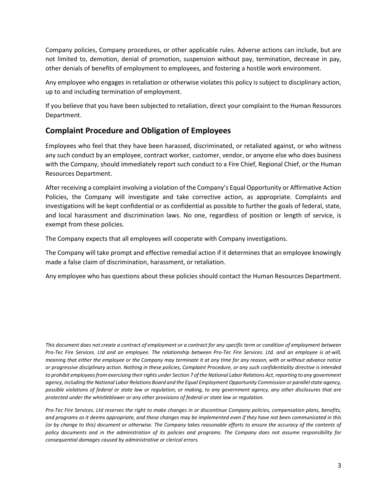Company policies, Company procedures, or other applicable rules. Adverse actions can include, but are not limited to, demotion, denial of promotion, suspension without pay, termination, decrease in pay, other denials of benefits of employment to employees, and fostering a hostile work environment.

Any employee who engages in retaliation or otherwise violates this policy is subject to disciplinary action, up to and including termination of employment.

If you believe that you have been subjected to retaliation, direct your complaint to the Human Resources Department.

#### **Complaint Procedure and Obligation of Employees**

Employees who feel that they have been harassed, discriminated, or retaliated against, or who witness any such conduct by an employee, contract worker, customer, vendor, or anyone else who does business with the Company, should immediately report such conduct to a Fire Chief, Regional Chief, or the Human Resources Department.

After receiving a complaint involving a violation of the Company's Equal Opportunity or Affirmative Action Policies, the Company will investigate and take corrective action, as appropriate. Complaints and investigations will be kept confidential or as confidential as possible to further the goals of federal, state, and local harassment and discrimination laws. No one, regardless of position or length of service, is exempt from these policies.

The Company expects that all employees will cooperate with Company investigations.

The Company will take prompt and effective remedial action if it determines that an employee knowingly made a false claim of discrimination, harassment, or retaliation.

Any employee who has questions about these policies should contact the Human Resources Department.

*This document does not create a contract of employment or a contract for any specific term or condition of employment between Pro-Tec Fire Services. Ltd and an employee. The relationship between Pro-Tec Fire Services. Ltd. and an employee is at-will, meaning that either the employee or the Company may terminate it at any time for any reason, with or without advance notice or progressive disciplinary action. Nothing in these policies, Complaint Procedure, or any such confidentiality directive is intended to prohibit employees from exercising their rights under Section 7 of the National Labor Relations Act, reporting to any government agency, including the National Labor Relations Board and the Equal Employment Opportunity Commission or parallel state agency, possible violations of federal or state law or regulation, or making, to any government agency, any other disclosures that are protected under the whistleblower or any other provisions of federal or state law or regulation.*

*Pro-Tec Fire Services. Ltd reserves the right to make changes in or discontinue Company policies, compensation plans, benefits, and programs as it deems appropriate, and these changes may be implemented even if they have not been communicated in this (or by change to this) document or otherwise. The Company takes reasonable efforts to ensure the accuracy of the contents of policy documents and in the administration of its policies and programs. The Company does not assume responsibility for consequential damages caused by administrative or clerical errors.*